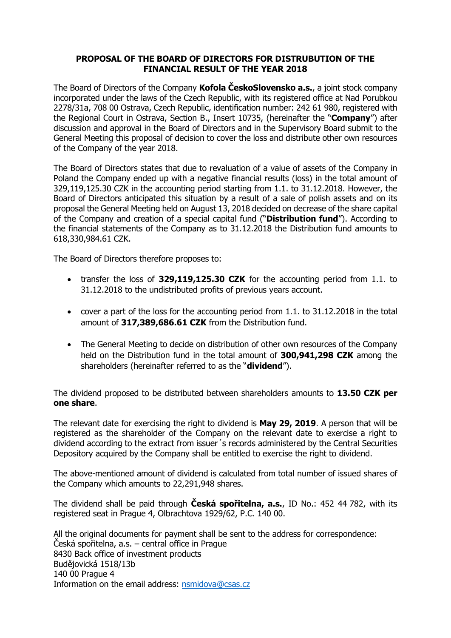### **PROPOSAL OF THE BOARD OF DIRECTORS FOR DISTRUBUTION OF THE FINANCIAL RESULT OF THE YEAR 2018**

The Board of Directors of the Company **Kofola ČeskoSlovensko a.s.**, a joint stock company incorporated under the laws of the Czech Republic, with its registered office at Nad Porubkou 2278/31a, 708 00 Ostrava, Czech Republic, identification number: 242 61 980, registered with the Regional Court in Ostrava, Section B., Insert 10735, (hereinafter the "**Company**") after discussion and approval in the Board of Directors and in the Supervisory Board submit to the General Meeting this proposal of decision to cover the loss and distribute other own resources of the Company of the year 2018.

The Board of Directors states that due to revaluation of a value of assets of the Company in Poland the Company ended up with a negative financial results (loss) in the total amount of 329,119,125.30 CZK in the accounting period starting from 1.1. to 31.12.2018. However, the Board of Directors anticipated this situation by a result of a sale of polish assets and on its proposal the General Meeting held on August 13, 2018 decided on decrease of the share capital of the Company and creation of a special capital fund ("**Distribution fund**"). According to the financial statements of the Company as to 31.12.2018 the Distribution fund amounts to 618,330,984.61 CZK.

The Board of Directors therefore proposes to:

- transfer the loss of **329,119,125.30 CZK** for the accounting period from 1.1. to 31.12.2018 to the undistributed profits of previous years account.
- cover a part of the loss for the accounting period from 1.1. to 31.12.2018 in the total amount of **317,389,686.61 CZK** from the Distribution fund.
- The General Meeting to decide on distribution of other own resources of the Company held on the Distribution fund in the total amount of **300,941,298 CZK** among the shareholders (hereinafter referred to as the "**dividend**").

The dividend proposed to be distributed between shareholders amounts to **13.50 CZK per one share**.

The relevant date for exercising the right to dividend is **May 29, 2019**. A person that will be registered as the shareholder of the Company on the relevant date to exercise a right to dividend according to the extract from issuer´s records administered by the Central Securities Depository acquired by the Company shall be entitled to exercise the right to dividend.

The above-mentioned amount of dividend is calculated from total number of issued shares of the Company which amounts to 22,291,948 shares.

The dividend shall be paid through **Česká spořitelna, a.s.**, ID No.: 452 44 782, with its registered seat in Prague 4, Olbrachtova 1929/62, P.C. 140 00.

All the original documents for payment shall be sent to the address for correspondence: Česká spořitelna, a.s. – central office in Prague 8430 Back office of investment products Budějovická 1518/13b 140 00 Prague 4 Information on the email address: [nsmidova@csas.cz](mailto:nsmidova@csas.cz)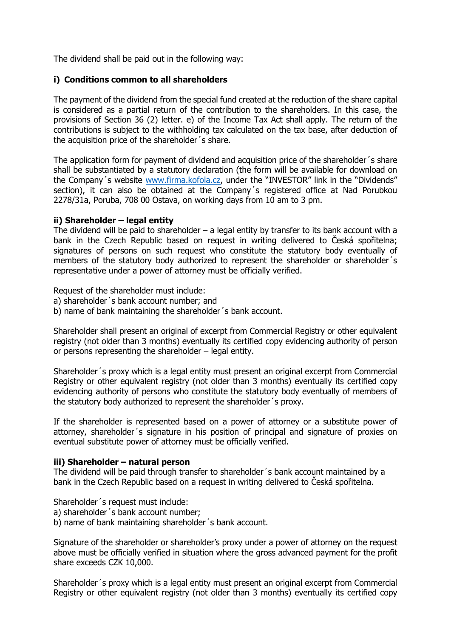The dividend shall be paid out in the following way:

## **i) Conditions common to all shareholders**

The payment of the dividend from the special fund created at the reduction of the share capital is considered as a partial return of the contribution to the shareholders. In this case, the provisions of Section 36 (2) letter. e) of the Income Tax Act shall apply. The return of the contributions is subject to the withholding tax calculated on the tax base, after deduction of the acquisition price of the shareholder´s share.

The application form for payment of dividend and acquisition price of the shareholder´s share shall be substantiated by a statutory declaration (the form will be available for download on the Company´s website [www.firma.kofola.cz](http://www.firma.kofola.cz/), under the "INVESTOR" link in the "Dividends" section), it can also be obtained at the Company´s registered office at Nad Porubkou 2278/31a, Poruba, 708 00 Ostava, on working days from 10 am to 3 pm.

## **ii) Shareholder – legal entity**

The dividend will be paid to shareholder  $-$  a legal entity by transfer to its bank account with a bank in the Czech Republic based on request in writing delivered to Česká spořitelna; signatures of persons on such request who constitute the statutory body eventually of members of the statutory body authorized to represent the shareholder or shareholder's representative under a power of attorney must be officially verified.

Request of the shareholder must include:

- a) shareholder´s bank account number; and
- b) name of bank maintaining the shareholder´s bank account.

Shareholder shall present an original of excerpt from Commercial Registry or other equivalent registry (not older than 3 months) eventually its certified copy evidencing authority of person or persons representing the shareholder – legal entity.

Shareholder´s proxy which is a legal entity must present an original excerpt from Commercial Registry or other equivalent registry (not older than 3 months) eventually its certified copy evidencing authority of persons who constitute the statutory body eventually of members of the statutory body authorized to represent the shareholder´s proxy.

If the shareholder is represented based on a power of attorney or a substitute power of attorney, shareholder´s signature in his position of principal and signature of proxies on eventual substitute power of attorney must be officially verified.

#### **iii) Shareholder – natural person**

The dividend will be paid through transfer to shareholder´s bank account maintained by a bank in the Czech Republic based on a request in writing delivered to Česká spořitelna.

Shareholder´s request must include:

- a) shareholder´s bank account number;
- b) name of bank maintaining shareholder´s bank account.

Signature of the shareholder or shareholder's proxy under a power of attorney on the request above must be officially verified in situation where the gross advanced payment for the profit share exceeds CZK 10,000.

Shareholder´s proxy which is a legal entity must present an original excerpt from Commercial Registry or other equivalent registry (not older than 3 months) eventually its certified copy